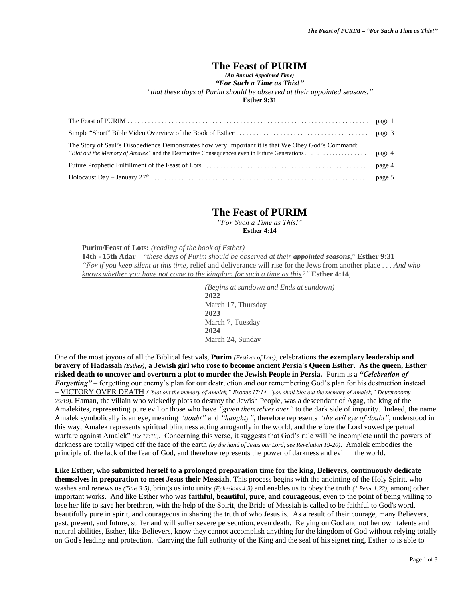# **The Feast of PURIM**

*(An Annual Appointed Time)*

*"For Such a Time as This!"*

*"that these days of Purim should be observed at their appointed seasons."*

**Esther 9:31**

| The Story of Saul's Disobedience Demonstrates how very Important it is that We Obey God's Command: |  |
|----------------------------------------------------------------------------------------------------|--|
|                                                                                                    |  |
|                                                                                                    |  |

## **The Feast of PURIM**

*"For Such a Time as This!"* **Esther 4:14**

**Purim/Feast of Lots:** *(reading of the book of Esther)* **14th - 15th Adar** *–* "*these days of Purim should be observed at their appointed seasons*," **Esther 9:31** *"For if you keep silent at this time,* relief and deliverance will rise for the Jews from another place *. . . And who knows whether you have not come to the kingdom for such a time as this?"* **Esther 4:14**,

> *(Begins at sundown and Ends at sundown)* **2022** March 17, Thursday **2023** March 7, Tuesday **2024** March 24, Sunday

One of the most joyous of all the Biblical festivals, **Purim** *(Festival of Lots)*, celebrations **the exemplary leadership and bravery of Hadassah** *(Esther)***, a Jewish girl who rose to become ancient Persia's Queen Esther. As the queen, Esther risked death to uncover and overturn a plot to murder the Jewish People in Persia.** Purim is a *"Celebration of Forgetting"* – forgetting our enemy's plan for our destruction and our remembering God's plan for his destruction instead – VICTORY OVER DEATH *("blot out the memory of Amalek," Exodus 17:14, "you shall blot out the memory of Amalek," Deuteronomy 25:19)*. Haman, the villain who wickedly plots to destroy the Jewish People, was a descendant of Agag, the king of the Amalekites, representing pure evil or those who have *"given themselves over"* to the dark side of impurity. Indeed, the name Amalek symbolically is an eye, meaning *"doubt"* and *"haughty"*, therefore represents *"the evil eye of doubt"*, understood in this way, Amalek represents spiritual blindness acting arrogantly in the world, and therefore the Lord vowed perpetual warfare against Amalek" *(Ex 17:16)*. Concerning this verse, it suggests that God's rule will be incomplete until the powers of darkness are totally wiped off the face of the earth *(by the hand of Jesus our Lord; see Revelation 19-20)*. Amalek embodies the principle of, the lack of the fear of God, and therefore represents the power of darkness and evil in the world.

**Like Esther, who submitted herself to a prolonged preparation time for the king, Believers, continuously dedicate themselves in preparation to meet Jesus their Messiah**. This process begins with the anointing of the Holy Spirit, who washes and renews us *(Titus 3:5)*, brings us into unity *(Ephesians 4:3)* and enables us to obey the truth *(1 Peter 1:22)*, among other important works. And like Esther who was **faithful, beautiful, pure, and courageous**, even to the point of being willing to lose her life to save her brethren, with the help of the Spirit, the Bride of Messiah is called to be faithful to God's word, beautifully pure in spirit, and courageous in sharing the truth of who Jesus is. As a result of their courage, many Believers, past, present, and future, suffer and will suffer severe persecution, even death. Relying on God and not her own talents and natural abilities, Esther, like Believers, know they cannot accomplish anything for the kingdom of God without relying totally on God's leading and protection. Carrying the full authority of the King and the seal of his signet ring, Esther to is able to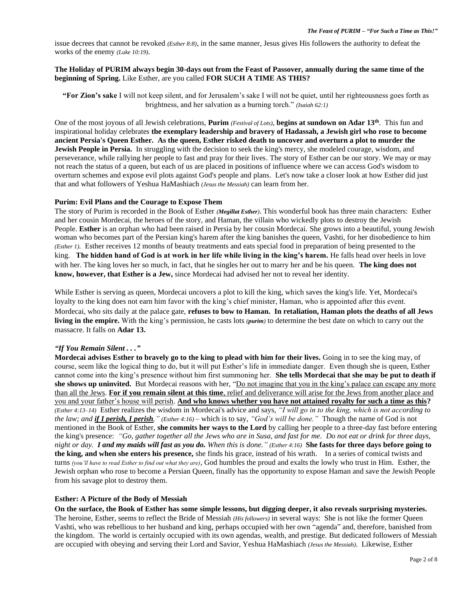issue decrees that cannot be revoked *(Esther 8:8)*, in the same manner, Jesus gives His followers the authority to defeat the works of the enemy *(Luke 10:19)*.

## **The Holiday of PURIM always begin 30-days out from the Feast of Passover, annually during the same time of the beginning of Spring.** Like Esther, are you called **FOR SUCH A TIME AS THIS?**

**"For Zion's sake** I will not keep silent, and for Jerusalem's sake I will not be quiet, until her righteousness goes forth as brightness, and her salvation as a burning torch." *(Isaiah 62:1)*

One of the most joyous of all Jewish celebrations, **Purim** *(Festival of Lots)*, **begins at sundown on Adar 13th** . This fun and inspirational holiday celebrates **the exemplary leadership and bravery of Hadassah, a Jewish girl who rose to become ancient Persia's Queen Esther. As the queen, Esther risked death to uncover and overturn a plot to murder the Jewish People in Persia.** In struggling with the decision to seek the king's mercy, she modeled courage, wisdom, and perseverance, while rallying her people to fast and pray for their lives. The story of Esther can be our story. We may or may not reach the status of a queen, but each of us are placed in positions of influence where we can access God's wisdom to overturn schemes and expose evil plots against God's people and plans. Let's now take a closer look at how Esther did just that and what followers of Yeshua HaMashiach *(Jesus the Messiah)* can learn from her.

#### **Purim: Evil Plans and the Courage to Expose Them**

The story of Purim is recorded in the Book of Esther *(Megillat Esther)*. This wonderful book has three main characters: Esther and her cousin Mordecai, the heroes of the story, and Haman, the villain who wickedly plots to destroy the Jewish People. **Esther** is an orphan who had been raised in Persia by her cousin Mordecai. She grows into a beautiful, young Jewish woman who becomes part of the Persian king's harem after the king banishes the queen, Vashti, for her disobedience to him *(Esther 1).* Esther receives 12 months of beauty treatments and eats special food in preparation of being presented to the king. **The hidden hand of God is at work in her life while living in the king's harem.** He falls head over heels in love with her. The king loves her so much, in fact, that he singles her out to marry her and be his queen. **The king does not know, however, that Esther is a Jew,** since Mordecai had advised her not to reveal her identity.

While Esther is serving as queen, Mordecai uncovers a plot to kill the king, which saves the king's life. Yet, Mordecai's loyalty to the king does not earn him favor with the king's chief minister, Haman, who is appointed after this event. Mordecai, who sits daily at the palace gate, **refuses to bow to Haman. In retaliation, Haman plots the deaths of all Jews living in the empire.** With the king's permission, he casts lots *(purim)* to determine the best date on which to carry out the massacre. It falls on **Adar 13.**

## *"If You Remain Silent . . ."*

**Mordecai advises Esther to bravely go to the king to plead with him for their lives.** Going in to see the king may, of course, seem like the logical thing to do, but it will put Esther's life in immediate danger. Even though she is queen, Esther cannot come into the king's presence without him first summoning her. **She tells Mordecai that she may be put to death if**  she shows up uninvited. But Mordecai reasons with her, "Do not imagine that you in the king's palace can escape any more than all the Jews. **For if you remain silent at this time**, relief and deliverance will arise for the Jews from another place and you and your father's house will perish. **And who knows whether you have not attained royalty for such a time as this?**  *(Esther 4:13–14)* Esther realizes the wisdom in Mordecai's advice and says, *"I will go in to the king, which is not according to the law; and if I perish, I perish," (Esther 4:16)* – which is to say, *"God's will be done."* Though the name of God is not mentioned in the Book of Esther, **she commits her ways to the Lord** by calling her people to a three-day fast before entering the king's presence: *"Go, gather together all the Jews who are in Susa, and fast for me. Do not eat or drink for three days, night or day. I and my maids will fast as you do. When this is done." (Esther 4:16)* **She fasts for three days before going to the king, and when she enters his presence,** she finds his grace, instead of his wrath. In a series of comical twists and turns *(you'll have to read Esther to find out what they are)*, God humbles the proud and exalts the lowly who trust in Him. Esther, the Jewish orphan who rose to become a Persian Queen, finally has the opportunity to expose Haman and save the Jewish People from his savage plot to destroy them.

#### **Esther: A Picture of the Body of Messiah**

**On the surface, the Book of Esther has some simple lessons, but digging deeper, it also reveals surprising mysteries.** The heroine, Esther, seems to reflect the Bride of Messiah *(His followers)* in several ways: She is not like the former Queen Vashti, who was rebellious to her husband and king, perhaps occupied with her own "agenda" and, therefore, banished from the kingdom. The world is certainly occupied with its own agendas, wealth, and prestige. But dedicated followers of Messiah are occupied with obeying and serving their Lord and Savior, Yeshua HaMashiach *(Jesus the Messiah)*. Likewise, Esther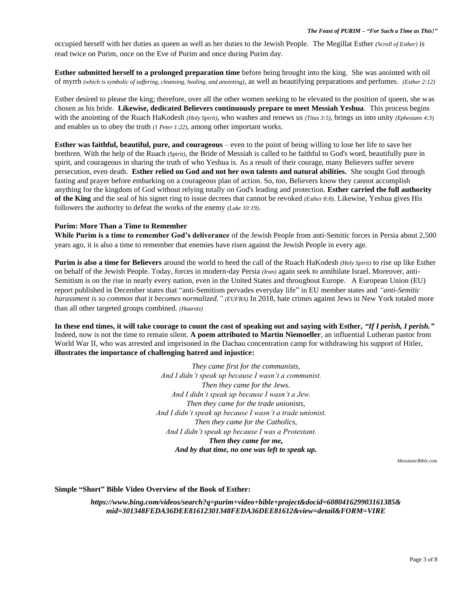occupied herself with her duties as queen as well as her duties to the Jewish People. The Megillat Esther *(Scroll of Esther)* is read twice on Purim, once on the Eve of Purim and once during Purim day.

**Esther submitted herself to a prolonged preparation time** before being brought into the king. She was anointed with oil of myrrh *(which is symbolic of suffering, cleansing, healing, and anointing)*, as well as beautifying preparations and perfumes. *(Esther 2:12)*

Esther desired to please the king; therefore, over all the other women seeking to be elevated to the position of queen, she was chosen as his bride. **Likewise, dedicated Believers continuously prepare to meet Messiah Yeshua**. This process begins with the anointing of the Ruach HaKodesh *(Holy Spirit)*, who washes and renews us *(Titus 3:5)*, brings us into unity *(Ephesians 4:3*) and enables us to obey the truth *(1 Peter 1:22),* among other important works.

**Esther was faithful, beautiful, pure, and courageous** – even to the point of being willing to lose her life to save her brethren. With the help of the Ruach *(Spirit)*, the Bride of Messiah is called to be faithful to God's word, beautifully pure in spirit, and courageous in sharing the truth of who Yeshua is. As a result of their courage, many Believers suffer severe persecution, even death. **Esther relied on God and not her own talents and natural abilities.** She sought God through fasting and prayer before embarking on a courageous plan of action. So, too, Believers know they cannot accomplish anything for the kingdom of God without relying totally on God's leading and protection. **Esther carried the full authority of the King** and the seal of his signet ring to issue decrees that cannot be revoked *(Esther 8:8).* Likewise, Yeshua gives His followers the authority to defeat the works of the enemy *(Luke 10:19).*

#### **Purim: More Than a Time to Remember**

**While Purim is a time to remember God's deliverance** of the Jewish People from anti-Semitic forces in Persia about 2,500 years ago, it is also a time to remember that enemies have risen against the Jewish People in every age.

**Purim is also a time for Believers** around the world to heed the call of the Ruach HaKodesh *(Holy Spirit)* to rise up like Esther on behalf of the Jewish People. Today, forces in modern-day Persia *(Iran)* again seek to annihilate Israel. Moreover, anti-Semitism is on the rise in nearly every nation, even in the United States and throughout Europe. A European Union (EU) report published in December states that "anti-Semitism pervades everyday life" in EU member states and *"anti-Semitic harassment is so common that it becomes normalized." (EUFRA)* In 2018, hate crimes against Jews in New York totaled more than all other targeted groups combined. *(Haaretz)*

**In these end times, it will take courage to count the cost of speaking out and saying with Esther,** *"If I perish, I perish."* Indeed, now is not the time to remain silent. **A poem attributed to Martin Niemoeller**, an influential Lutheran pastor from World War II, who was arrested and imprisoned in the Dachau concentration camp for withdrawing his support of Hitler, **illustrates the importance of challenging hatred and injustice:**

> *They came first for the communists, And I didn't speak up because I wasn't a communist. Then they came for the Jews. And I didn't speak up because I wasn't a Jew. Then they came for the trade unionists, And I didn't speak up because I wasn't a trade unionist. Then they came for the Catholics, And I didn't speak up because I was a Protestant. Then they came for me, And by that time, no one was left to speak up.*

> > *MessianicBible.com*

#### **Simple "Short" Bible Video Overview of the Book of Esther:**

*https://www.bing.com/videos/search?q=purim+video+bible+project&docid=608041629903161385& mid=301348FEDA36DEE81612301348FEDA36DEE81612&view=detail&FORM=VIRE*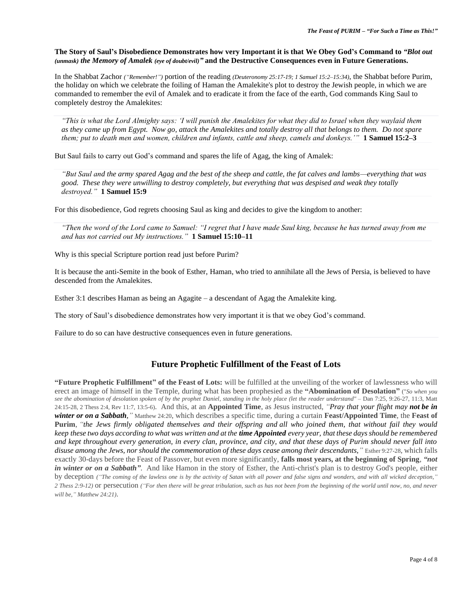**The Story of Saul's Disobedience Demonstrates how very Important it is that We Obey God's Command to** *"Blot out (unmask) the Memory of Amalek (eye of doubt/evil)"* **and the Destructive Consequences even in Future Generations.**

In the Shabbat Zachor *("Remember!")* portion of the reading *(Deuteronomy 25:17-19; 1 Samuel 15:2–15:34)*, the Shabbat before Purim, the holiday on which we celebrate the foiling of Haman the Amalekite's plot to destroy the Jewish people, in which we are commanded to remember the evil of Amalek and to eradicate it from the face of the earth, God commands King Saul to completely destroy the Amalekites:

*"This is what the Lord Almighty says: 'I will punish the Amalekites for what they did to Israel when they waylaid them as they came up from Egypt. Now go, attack the Amalekites and totally destroy all that belongs to them. Do not spare them; put to death men and women, children and infants, cattle and sheep, camels and donkeys.'"* **1 Samuel 15:2–3**

But Saul fails to carry out God's command and spares the life of Agag, the king of Amalek:

*"But Saul and the army spared Agag and the best of the sheep and cattle, the fat calves and lambs—everything that was good. These they were unwilling to destroy completely, but everything that was despised and weak they totally destroyed."* **1 Samuel 15:9**

For this disobedience, God regrets choosing Saul as king and decides to give the kingdom to another:

*"Then the word of the Lord came to Samuel: "I regret that I have made Saul king, because he has turned away from me and has not carried out My instructions."* **1 Samuel 15:10–11**

Why is this special Scripture portion read just before Purim?

It is because the anti-Semite in the book of Esther, Haman, who tried to annihilate all the Jews of Persia, is believed to have descended from the Amalekites.

Esther 3:1 describes Haman as being an Agagite – a descendant of Agag the Amalekite king.

The story of Saul's disobedience demonstrates how very important it is that we obey God's command.

Failure to do so can have destructive consequences even in future generations.

## **Future Prophetic Fulfillment of the Feast of Lots**

**"Future Prophetic Fulfillment" of the Feast of Lots:** will be fulfilled at the unveiling of the worker of lawlessness who will erect an image of himself in the Temple, during what has been prophesied as the **"Abomination of Desolation"** ("*So when you see the abomination of desolation spoken of by the prophet Daniel, standing in the holy place (let the reader understand"* – Dan 7:25, 9:26-27, 11:3, Matt 24:15-28, 2 Thess 2:4, Rev 11:7, 13:5-6). And this, at an **Appointed Time**, as Jesus instructed, *"Pray that your flight may not be in winter or on a Sabbath,"* Matthew 24:20, which describes a specific time, during a curtain **Feast/Appointed Time**, the **Feast of Purim**, *"the Jews firmly obligated themselves and their offspring and all who joined them, that without fail they would keep these two days according to what was written and at the time Appointed every year, that these days should be remembered and kept throughout every generation, in every clan, province, and city, and that these days of Purim should never fall into disuse among the Jews, nor should the commemoration of these days cease among their descendants,"* Esther 9:27-28, which falls exactly 30-days before the Feast of Passover, but even more significantly, **falls most years, at the beginning of Spring**, *"not in winter or on a Sabbath"*. And like Hamon in the story of Esther, the Anti-christ's plan is to destroy God's people, either by deception *("The coming of the lawless one is by the activity of Satan with all power and false signs and wonders, and with all wicked deception," 2 Thess 2:9-12)* or persecution *("For then there will be great tribulation, such as has not been from the beginning of the world until now, no, and never will be," Matthew 24:21)*.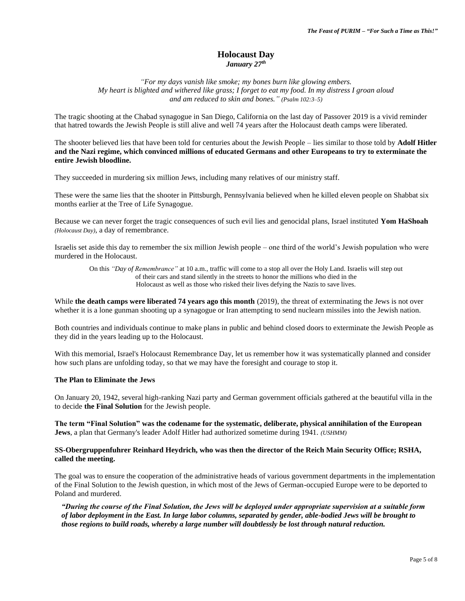## **Holocaust Day** *January 27th*

*"For my days vanish like smoke; my bones burn like glowing embers. My heart is blighted and withered like grass; I forget to eat my food. In my distress I groan aloud and am reduced to skin and bones." (Psalm 102:3–5)*

The tragic shooting at the Chabad synagogue in San Diego, California on the last day of Passover 2019 is a vivid reminder that hatred towards the Jewish People is still alive and well 74 years after the Holocaust death camps were liberated.

The shooter believed lies that have been told for centuries about the Jewish People – lies similar to those told by **Adolf Hitler and the Nazi regime, which convinced millions of educated Germans and other Europeans to try to exterminate the entire Jewish bloodline.**

They succeeded in murdering six million Jews, including many relatives of our ministry staff.

These were the same lies that the shooter in Pittsburgh, Pennsylvania believed when he killed eleven people on Shabbat six months earlier at the Tree of Life Synagogue.

Because we can never forget the tragic consequences of such evil lies and genocidal plans, Israel instituted **Yom HaShoah** *(Holocaust Day)*, a day of remembrance.

Israelis set aside this day to remember the six million Jewish people – one third of the world's Jewish population who were murdered in the Holocaust.

On this *"Day of Remembrance"* at 10 a.m., traffic will come to a stop all over the Holy Land. Israelis will step out of their cars and stand silently in the streets to honor the millions who died in the Holocaust as well as those who risked their lives defying the Nazis to save lives.

While **the death camps were liberated 74 years ago this month** (2019), the threat of exterminating the Jews is not over whether it is a lone gunman shooting up a synagogue or Iran attempting to send nuclearn missiles into the Jewish nation.

Both countries and individuals continue to make plans in public and behind closed doors to exterminate the Jewish People as they did in the years leading up to the Holocaust.

With this memorial, Israel's Holocaust Remembrance Day, let us remember how it was systematically planned and consider how such plans are unfolding today, so that we may have the foresight and courage to stop it.

#### **The Plan to Eliminate the Jews**

On January 20, 1942, several high-ranking Nazi party and German government officials gathered at the beautiful villa in the to decide **the Final Solution** for the Jewish people.

**The term "Final Solution" was the codename for the systematic, deliberate, physical annihilation of the European Jews**, a plan that Germany's leader Adolf Hitler had authorized sometime during 1941. *(USHMM)*

#### **SS-Obergruppenfuhrer Reinhard Heydrich, who was then the director of the Reich Main Security Office; RSHA, called the meeting.**

The goal was to ensure the cooperation of the administrative heads of various government departments in the implementation of the Final Solution to the Jewish question, in which most of the Jews of German-occupied Europe were to be deported to Poland and murdered.

*"During the course of the Final Solution, the Jews will be deployed under appropriate supervision at a suitable form of labor deployment in the East. In large labor columns, separated by gender, able-bodied Jews will be brought to those regions to build roads, whereby a large number will doubtlessly be lost through natural reduction.*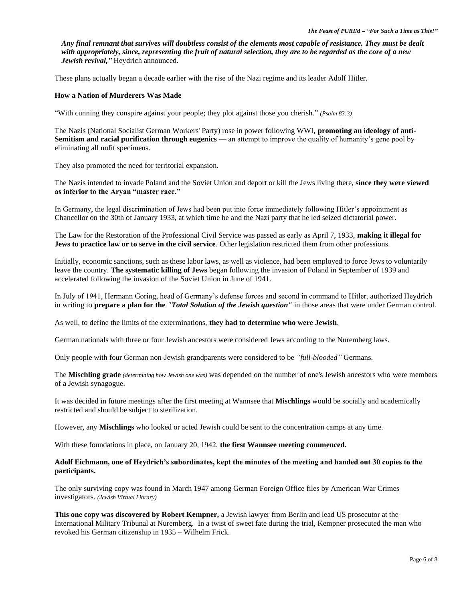*Any final remnant that survives will doubtless consist of the elements most capable of resistance. They must be dealt with appropriately, since, representing the fruit of natural selection, they are to be regarded as the core of a new Jewish revival,"* Heydrich announced.

These plans actually began a decade earlier with the rise of the Nazi regime and its leader Adolf Hitler.

## **How a Nation of Murderers Was Made**

"With cunning they conspire against your people; they plot against those you cherish." *(Psalm 83:3)*

The Nazis (National Socialist German Workers' Party) rose in power following WWI, **promoting an ideology of anti-Semitism and racial purification through eugenics** — an attempt to improve the quality of humanity's gene pool by eliminating all unfit specimens.

They also promoted the need for territorial expansion.

The Nazis intended to invade Poland and the Soviet Union and deport or kill the Jews living there, **since they were viewed as inferior to the Aryan "master race."**

In Germany, the legal discrimination of Jews had been put into force immediately following Hitler's appointment as Chancellor on the 30th of January 1933, at which time he and the Nazi party that he led seized dictatorial power.

The Law for the Restoration of the Professional Civil Service was passed as early as April 7, 1933, **making it illegal for Jews to practice law or to serve in the civil service**. Other legislation restricted them from other professions.

Initially, economic sanctions, such as these labor laws, as well as violence, had been employed to force Jews to voluntarily leave the country. **The systematic killing of Jews** began following the invasion of Poland in September of 1939 and accelerated following the invasion of the Soviet Union in June of 1941.

In July of 1941, Hermann Goring, head of Germany's defense forces and second in command to Hitler, authorized Heydrich in writing to **prepare a plan for the** *"Total Solution of the Jewish question"* in those areas that were under German control.

As well, to define the limits of the exterminations, **they had to determine who were Jewish**.

German nationals with three or four Jewish ancestors were considered Jews according to the Nuremberg laws.

Only people with four German non-Jewish grandparents were considered to be *"full-blooded"* Germans.

The **Mischling grade** *(determining how Jewish one was)* was depended on the number of one's Jewish ancestors who were members of a Jewish synagogue.

It was decided in future meetings after the first meeting at Wannsee that **Mischlings** would be socially and academically restricted and should be subject to sterilization.

However, any **Mischlings** who looked or acted Jewish could be sent to the concentration camps at any time.

With these foundations in place, on January 20, 1942, **the first Wannsee meeting commenced.**

#### **Adolf Eichmann, one of Heydrich's subordinates, kept the minutes of the meeting and handed out 30 copies to the participants.**

The only surviving copy was found in March 1947 among German Foreign Office files by American War Crimes investigators. *(Jewish Virtual Library)*

**This one copy was discovered by Robert Kempner,** a Jewish lawyer from Berlin and lead US prosecutor at the International Military Tribunal at Nuremberg. In a twist of sweet fate during the trial, Kempner prosecuted the man who revoked his German citizenship in 1935 – Wilhelm Frick.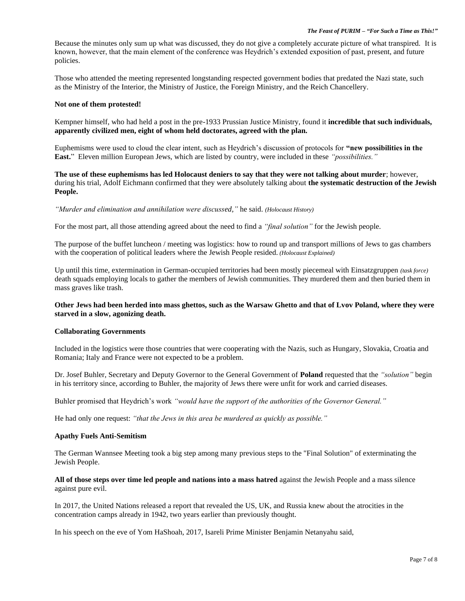Because the minutes only sum up what was discussed, they do not give a completely accurate picture of what transpired. It is known, however, that the main element of the conference was Heydrich's extended exposition of past, present, and future policies.

Those who attended the meeting represented longstanding respected government bodies that predated the Nazi state, such as the Ministry of the Interior, the Ministry of Justice, the Foreign Ministry, and the Reich Chancellery.

#### **Not one of them protested!**

Kempner himself, who had held a post in the pre-1933 Prussian Justice Ministry, found it **incredible that such individuals, apparently civilized men, eight of whom held doctorates, agreed with the plan.**

Euphemisms were used to cloud the clear intent, such as Heydrich's discussion of protocols for **"new possibilities in the East.**" Eleven million European Jews, which are listed by country, were included in these *"possibilities."*

### **The use of these euphemisms has led Holocaust deniers to say that they were not talking about murder**; however, during his trial, Adolf Eichmann confirmed that they were absolutely talking about **the systematic destruction of the Jewish People.**

*"Murder and elimination and annihilation were discussed,"* he said. *(Holocaust History)*

For the most part, all those attending agreed about the need to find a *"final solution"* for the Jewish people.

The purpose of the buffet luncheon / meeting was logistics: how to round up and transport millions of Jews to gas chambers with the cooperation of political leaders where the Jewish People resided. *(Holocaust Explained)*

Up until this time, extermination in German-occupied territories had been mostly piecemeal with Einsatzgruppen *(task force)* death squads employing locals to gather the members of Jewish communities. They murdered them and then buried them in mass graves like trash.

### **Other Jews had been herded into mass ghettos, such as the Warsaw Ghetto and that of Lvov Poland, where they were starved in a slow, agonizing death.**

## **Collaborating Governments**

Included in the logistics were those countries that were cooperating with the Nazis, such as Hungary, Slovakia, Croatia and Romania; Italy and France were not expected to be a problem.

Dr. Josef Buhler, Secretary and Deputy Governor to the General Government of **Poland** requested that the *"solution"* begin in his territory since, according to Buhler, the majority of Jews there were unfit for work and carried diseases.

Buhler promised that Heydrich's work *"would have the support of the authorities of the Governor General."*

He had only one request: *"that the Jews in this area be murdered as quickly as possible."*

#### **Apathy Fuels Anti-Semitism**

The German Wannsee Meeting took a big step among many previous steps to the "Final Solution" of exterminating the Jewish People.

**All of those steps over time led people and nations into a mass hatred** against the Jewish People and a mass silence against pure evil.

In 2017, the United Nations released a report that revealed the US, UK, and Russia knew about the atrocities in the concentration camps already in 1942, two years earlier than previously thought.

In his speech on the eve of Yom HaShoah, 2017, Isareli Prime Minister Benjamin Netanyahu said,